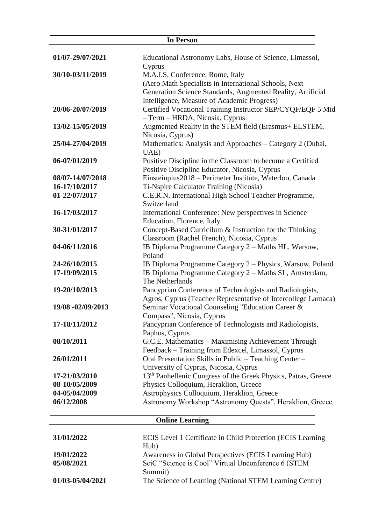|                   | <b>In Person</b>                                                           |
|-------------------|----------------------------------------------------------------------------|
| 01/07-29/07/2021  | Educational Astronomy Labs, House of Science, Limassol,                    |
|                   | Cyprus                                                                     |
| 30/10-03/11/2019  | M.A.I.S. Conference, Rome, Italy                                           |
|                   | (Aero Math Specialists in International Schools, Next                      |
|                   | Generation Science Standards, Augmented Reality, Artificial                |
|                   | Intelligence, Measure of Academic Progress)                                |
| 20/06-20/07/2019  | Certified Vocational Training Instructor SEP/CYQF/EQF 5 Mid                |
|                   | - Term - HRDA, Nicosia, Cyprus                                             |
| 13/02-15/05/2019  | Augmented Reality in the STEM field (Erasmus+ ELSTEM,                      |
|                   | Nicosia, Cyprus)                                                           |
| 25/04-27/04/2019  | Mathematics: Analysis and Approaches - Category 2 (Dubai,                  |
|                   | UAE)                                                                       |
| 06-07/01/2019     | Positive Discipline in the Classroom to become a Certified                 |
|                   | Positive Discipline Educator, Nicosia, Cyprus                              |
| 08/07-14/07/2018  | Einsteinplus2018 - Perimeter Institute, Waterloo, Canada                   |
| 16-17/10/2017     | <b>Ti-Nspire Calculator Training (Nicosia)</b>                             |
| 01-22/07/2017     | C.E.R.N. International High School Teacher Programme,                      |
|                   | Switzerland                                                                |
| 16-17/03/2017     | International Conference: New perspectives in Science                      |
|                   | Education, Florence, Italy                                                 |
| 30-31/01/2017     | Concept-Based Curricilum & Instruction for the Thinking                    |
|                   | Classroom (Rachel French), Nicosia, Cyprus                                 |
| 04-06/11/2016     | IB Diploma Programme Category 2 - Maths HL, Warsow,                        |
|                   | Poland                                                                     |
| 24-26/10/2015     | IB Diploma Programme Category 2 – Physics, Warsow, Poland                  |
| 17-19/09/2015     | IB Diploma Programme Category 2 - Maths SL, Amsterdam,                     |
|                   | The Netherlands                                                            |
| 19-20/10/2013     | Pancyprian Conference of Technologists and Radiologists,                   |
|                   | Agros, Cyprus (Teacher Representative of Intercollege Larnaca)             |
| 19/08 -02/09/2013 | Seminar Vocational Counseling "Education Career &                          |
|                   | Compass", Nicosia, Cyprus                                                  |
| 17-18/11/2012     | Pancyprian Conference of Technologists and Radiologists,                   |
|                   | Paphos, Cyprus                                                             |
| 08/10/2011        | G.C.E. Mathematics - Maximising Achievement Through                        |
|                   | Feedback - Training from Edexcel, Limassol, Cyprus                         |
| 26/01/2011        | Oral Presentation Skills in Public - Teaching Center -                     |
|                   | University of Cyprus, Nicosia, Cyprus                                      |
| 17-21/03/2010     | 13 <sup>th</sup> Panhellenic Congress of the Greek Physics, Patras, Greece |
| 08-10/05/2009     | Physics Colloquium, Heraklion, Greece                                      |
| 04-05/04/2009     | Astrophysics Colloquium, Heraklion, Greece                                 |
| 06/12/2008        | Astronomy Workshop "Astronomy Quests", Heraklion, Greece                   |
|                   |                                                                            |
|                   | <b>Online Learning</b>                                                     |
| 31/01/2022        | ECIS Level 1 Certificate in Child Protection (ECIS Learning                |
|                   | Hub)                                                                       |
| 19/01/2022        | Awareness in Global Perspectives (ECIS Learning Hub)                       |
| 05/08/2021        | SciC "Science is Cool" Virtual Unconference 6 (STEM                        |
|                   | Summit)                                                                    |
| 01/03-05/04/2021  | The Science of Learning (National STEM Learning Centre)                    |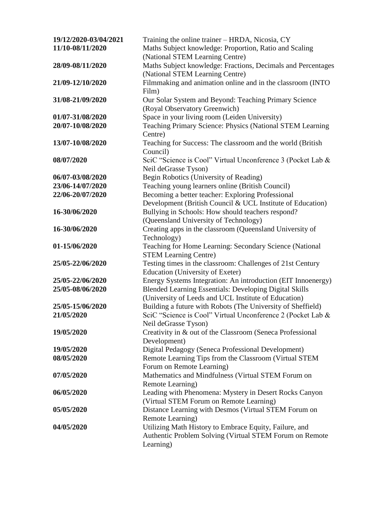| 19/12/2020-03/04/2021 | Training the online trainer – HRDA, Nicosia, CY               |
|-----------------------|---------------------------------------------------------------|
| 11/10-08/11/2020      | Maths Subject knowledge: Proportion, Ratio and Scaling        |
|                       | (National STEM Learning Centre)                               |
| 28/09-08/11/2020      | Maths Subject knowledge: Fractions, Decimals and Percentages  |
|                       | (National STEM Learning Centre)                               |
| 21/09-12/10/2020      | Filmmaking and animation online and in the classroom (INTO    |
|                       | Film)                                                         |
| 31/08-21/09/2020      | Our Solar System and Beyond: Teaching Primary Science         |
|                       | (Royal Observatory Greenwich)                                 |
| 01/07-31/08/2020      | Space in your living room (Leiden University)                 |
| 20/07-10/08/2020      | Teaching Primary Science: Physics (National STEM Learning     |
|                       | Centre)                                                       |
| 13/07-10/08/2020      | Teaching for Success: The classroom and the world (British)   |
|                       | Council)                                                      |
| 08/07/2020            | SciC "Science is Cool" Virtual Unconference 3 (Pocket Lab &   |
|                       | Neil deGrasse Tyson)                                          |
| 06/07-03/08/2020      | Begin Robotics (University of Reading)                        |
| 23/06-14/07/2020      | Teaching young learners online (British Council)              |
| 22/06-20/07/2020      | Becoming a better teacher: Exploring Professional             |
|                       | Development (British Council & UCL Institute of Education)    |
| 16-30/06/2020         | Bullying in Schools: How should teachers respond?             |
|                       | (Queensland University of Technology)                         |
| 16-30/06/2020         | Creating apps in the classroom (Queensland University of      |
|                       | Technology)                                                   |
| 01-15/06/2020         | Teaching for Home Learning: Secondary Science (National       |
|                       | <b>STEM Learning Centre)</b>                                  |
| 25/05-22/06/2020      | Testing times in the classroom: Challenges of 21st Century    |
|                       | Education (University of Exeter)                              |
| 25/05-22/06/2020      | Energy Systems Integration: An introduction (EIT Innoenergy)  |
| 25/05-08/06/2020      | <b>Blended Learning Essentials: Developing Digital Skills</b> |
|                       | (University of Leeds and UCL Institute of Education)          |
| 25/05-15/06/2020      | Building a future with Robots (The University of Sheffield)   |
| 21/05/2020            | SciC "Science is Cool" Virtual Unconference 2 (Pocket Lab &   |
|                       | Neil deGrasse Tyson)                                          |
| 19/05/2020            | Creativity in & out of the Classroom (Seneca Professional     |
|                       | Development)                                                  |
| 19/05/2020            | Digital Pedagogy (Seneca Professional Development)            |
| 08/05/2020            | Remote Learning Tips from the Classroom (Virtual STEM         |
|                       | Forum on Remote Learning)                                     |
| 07/05/2020            | Mathematics and Mindfulness (Virtual STEM Forum on            |
|                       | Remote Learning)                                              |
| 06/05/2020            | Leading with Phenomena: Mystery in Desert Rocks Canyon        |
|                       | (Virtual STEM Forum on Remote Learning)                       |
| 05/05/2020            | Distance Learning with Desmos (Virtual STEM Forum on          |
|                       | Remote Learning)                                              |
| 04/05/2020            | Utilizing Math History to Embrace Equity, Failure, and        |
|                       | Authentic Problem Solving (Virtual STEM Forum on Remote       |
|                       | Learning)                                                     |
|                       |                                                               |